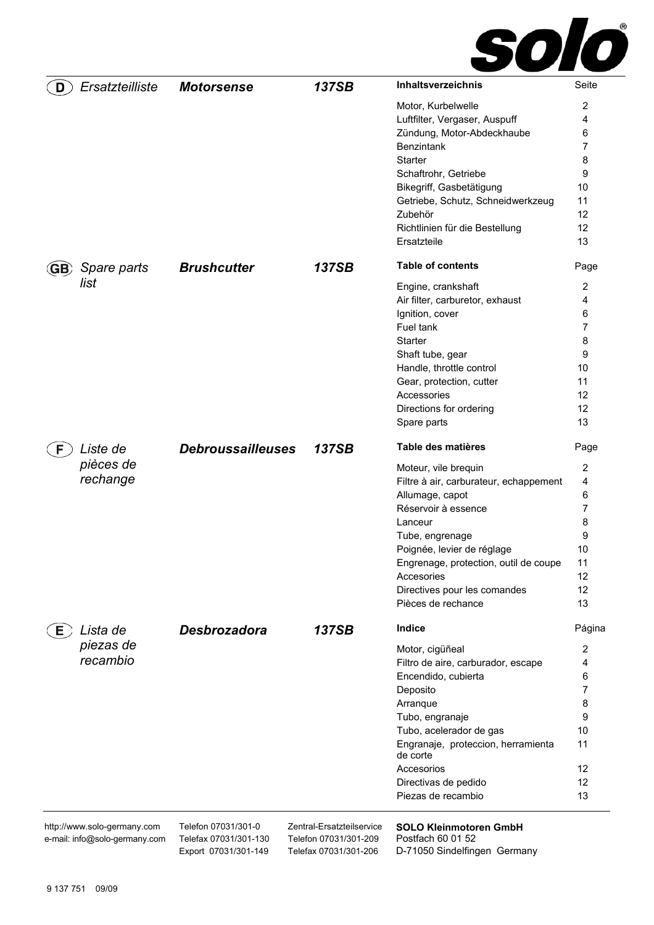

| D     | Ersatzteilliste                                              | <b>Motorsense</b>                            | 137SB                                              | <b>Inhaltsverzeichnis</b>                          | Seite          |
|-------|--------------------------------------------------------------|----------------------------------------------|----------------------------------------------------|----------------------------------------------------|----------------|
|       |                                                              |                                              |                                                    | Motor, Kurbelwelle                                 | 2              |
|       |                                                              |                                              |                                                    | Luftfilter, Vergaser, Auspuff                      | 4              |
|       |                                                              |                                              |                                                    | Zündung, Motor-Abdeckhaube                         | 6              |
|       |                                                              |                                              |                                                    | Benzintank                                         | 7              |
|       |                                                              |                                              |                                                    | Starter                                            | 8              |
|       |                                                              |                                              |                                                    | Schaftrohr, Getriebe                               | 9              |
|       |                                                              |                                              |                                                    | Bikegriff, Gasbetätigung                           | 10             |
|       |                                                              |                                              |                                                    | Getriebe, Schutz, Schneidwerkzeug                  | 11             |
|       |                                                              |                                              |                                                    | Zubehör                                            | 12             |
|       |                                                              |                                              |                                                    | Richtlinien für die Bestellung                     | 12             |
|       |                                                              |                                              |                                                    | Ersatzteile                                        | 13             |
| (GB)  | Spare parts                                                  | <b>Brushcutter</b>                           | 137SB                                              | <b>Table of contents</b>                           | Page           |
|       | list                                                         |                                              |                                                    | Engine, crankshaft                                 | $\overline{2}$ |
|       |                                                              |                                              |                                                    | Air filter, carburetor, exhaust                    | 4              |
|       |                                                              |                                              |                                                    | Ignition, cover                                    | 6              |
|       |                                                              |                                              |                                                    | Fuel tank                                          | 7              |
|       |                                                              |                                              |                                                    | Starter                                            | 8              |
|       |                                                              |                                              |                                                    | Shaft tube, gear                                   | 9              |
|       |                                                              |                                              |                                                    | Handle, throttle control                           | 10             |
|       |                                                              |                                              |                                                    | Gear, protection, cutter                           | 11             |
|       |                                                              |                                              |                                                    | Accessories                                        | 12             |
|       |                                                              |                                              |                                                    | Directions for ordering                            | 12             |
|       |                                                              |                                              |                                                    | Spare parts                                        | 13             |
| F.    | Liste de                                                     | <b>Debroussailleuses</b>                     | <b>137SB</b>                                       | Table des matières                                 | Page           |
|       | pièces de                                                    |                                              |                                                    | Moteur, vile brequin                               | 2              |
|       | rechange                                                     |                                              |                                                    | Filtre à air, carburateur, echappement             | 4              |
|       |                                                              |                                              |                                                    | Allumage, capot                                    | 6              |
|       |                                                              |                                              |                                                    | Réservoir à essence                                | 7              |
|       |                                                              |                                              |                                                    | Lanceur                                            | 8              |
|       |                                                              |                                              |                                                    | Tube, engrenage                                    | 9              |
|       |                                                              |                                              |                                                    | Poignée, levier de réglage                         | 10             |
|       |                                                              |                                              |                                                    | Engrenage, protection, outil de coupe              | 11             |
|       |                                                              |                                              |                                                    | Accesories                                         | 12             |
|       |                                                              |                                              |                                                    | Directives pour les comandes                       | 12             |
|       |                                                              |                                              |                                                    | Pièces de rechance                                 | 13             |
| $E$ ) | Lista de                                                     | Desbrozadora                                 | 137SB                                              | <b>Indice</b>                                      | Página         |
|       | piezas de                                                    |                                              |                                                    | Motor, cigüñeal                                    | 2              |
|       | recambio                                                     |                                              |                                                    | Filtro de aire, carburador, escape                 | 4              |
|       |                                                              |                                              |                                                    | Encendido, cubierta                                | 6              |
|       |                                                              |                                              |                                                    | Deposito                                           | 7              |
|       |                                                              |                                              |                                                    | Arranque                                           | 8              |
|       |                                                              |                                              |                                                    | Tubo, engranaje                                    | 9              |
|       |                                                              |                                              |                                                    | Tubo, acelerador de gas                            | 10             |
|       |                                                              |                                              |                                                    | Engranaje, proteccion, herramienta<br>de corte     | 11             |
|       |                                                              |                                              |                                                    | Accesorios                                         | 12             |
|       |                                                              |                                              |                                                    | Directivas de pedido                               | 12             |
|       |                                                              |                                              |                                                    | Piezas de recambio                                 | 13             |
|       | http://www.solo-germany.com<br>e-mail: info@solo-germany.com | Telefon 07031/301-0<br>Telefax 07031/301-130 | Zentral-Ersatzteilservice<br>Telefon 07031/301-209 | <b>SOLO Kleinmotoren GmbH</b><br>Postfach 60 01 52 |                |

Telefax 07031/301-206 D-71050 Sindelfingen Germany

Export 07031/301-149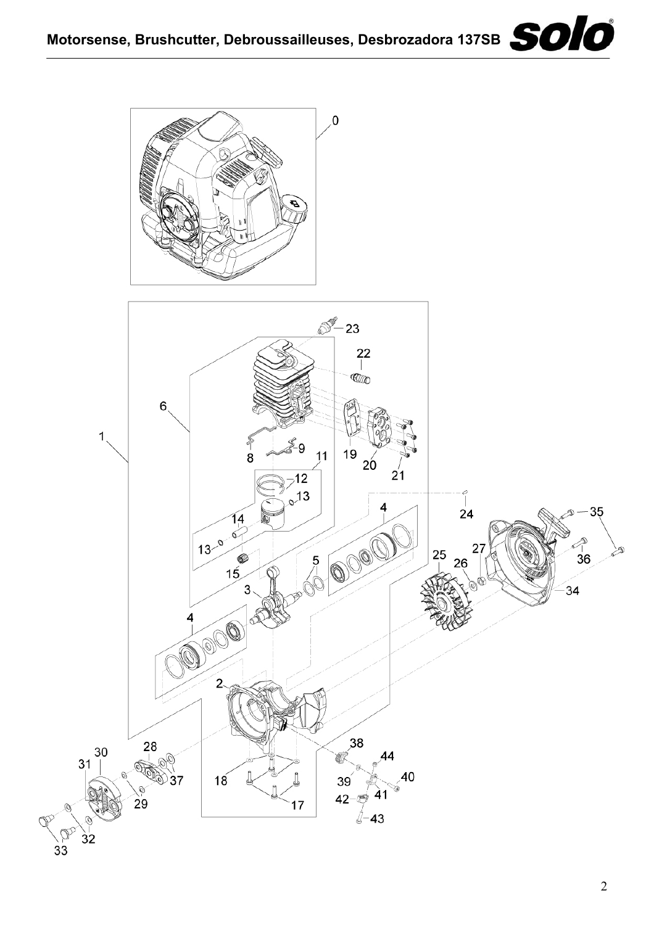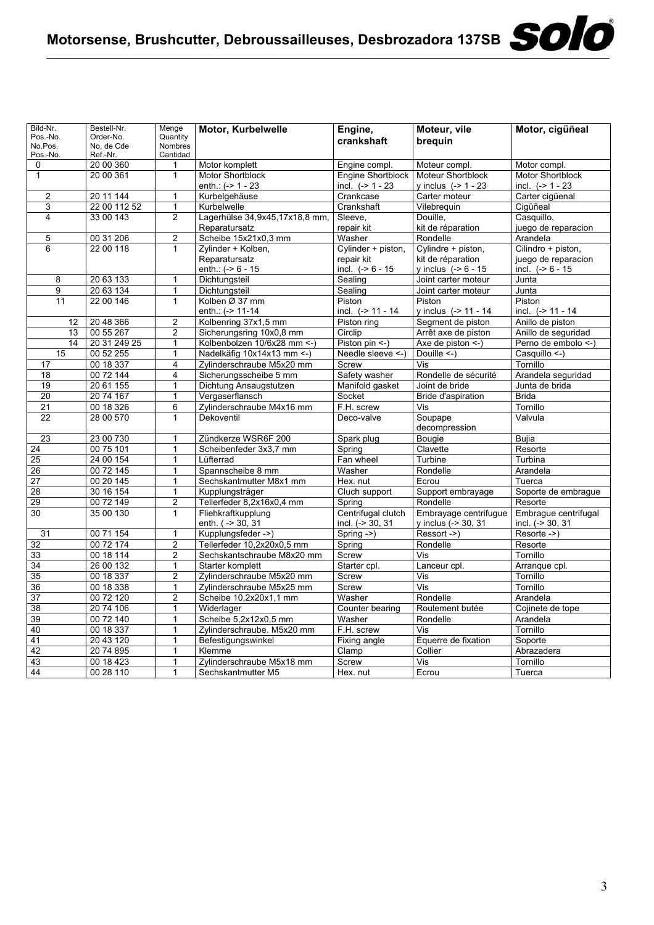| Bild-Nr.            | Bestell-Nr.            | Menge               | Motor, Kurbelwelle             | Engine,                  | Moteur, vile             | Motor, cigüñeal         |
|---------------------|------------------------|---------------------|--------------------------------|--------------------------|--------------------------|-------------------------|
| Pos.-No.            | Order-No.              | Quantity            |                                | crankshaft               | breguin                  |                         |
| No.Pos.<br>Pos.-No. | No. de Cde<br>Ref.-Nr. | Nombres<br>Cantidad |                                |                          |                          |                         |
| 0                   | 20 00 360              | 1                   | Motor komplett                 | Engine compl.            | Moteur compl.            | Motor compl.            |
| $\mathbf{1}$        | 20 00 361              | $\mathbf{1}$        | <b>Motor Shortblock</b>        | <b>Engine Shortblock</b> | <b>Moteur Shortblock</b> | <b>Motor Shortblock</b> |
|                     |                        |                     | enth.: $(-> 1 - 23$            | incl. $(-> 1 - 23$       | y inclus $(-> 1 - 23$    | incl. $(-> 1 - 23$      |
| $\overline{2}$      | 20 11 144              | 1                   | Kurbelgehäuse                  | Crankcase                | Carter moteur            | Carter cigüenal         |
| 3                   | 22 00 112 52           | 1                   | Kurbelwelle                    | Crankshaft               | Vilebrequin              | Cigüñeal                |
| $\overline{4}$      | 33 00 143              | $\overline{2}$      | Lagerhülse 34,9x45,17x18,8 mm, | Sleeve.                  | Douille.                 | Casquillo,              |
|                     |                        |                     | Reparatursatz                  | repair kit               | kit de réparation        | juego de reparacion     |
| 5                   | 00 31 206              | $\overline{2}$      | Scheibe 15x21x0,3 mm           | Washer                   | Rondelle                 | Arandela                |
| 6                   | 22 00 118              | 1                   | Zylinder + Kolben,             | Cylinder + piston,       | Cylindre + piston,       | Cilindro + piston,      |
|                     |                        |                     | Reparatursatz                  | repair kit               | kit de réparation        | juego de reparacion     |
|                     |                        |                     | enth.: $(-8)$ 6 - 15           | incl. $(-8)$ 6 - 15      | y inclus $(-8 - 15)$     | incl. $(-56 - 15)$      |
| 8                   | 20 63 133              | 1                   | Dichtungsteil                  | Sealing                  | Joint carter moteur      | Junta                   |
| 9                   | 20 63 134              | 1                   | Dichtungsteil                  | Sealing                  | Joint carter moteur      | Junta                   |
| 11                  | 22 00 146              | $\mathbf{1}$        | Kolben Ø 37 mm                 | Piston                   | Piston                   | Piston                  |
|                     |                        |                     | enth.: (-> 11-14               | incl. (-> 11 - 14        | y inclus $(-5 11 - 14)$  | incl. (-> 11 - 14       |
| 12                  | 20 48 366              | $\overline{c}$      | Kolbenring 37x1,5 mm           | Piston ring              | Segment de piston        | Anillo de piston        |
| 13                  | 00 55 267              | $\overline{c}$      | Sicherungsring 10x0,8 mm       | Circlip                  | Arrêt axe de piston      | Anillo de seguridad     |
| 14                  | 20 31 249 25           | $\overline{1}$      | Kolbenbolzen 10/6x28 mm <- )   | Piston pin <-)           | Axe de piston <-)        | Perno de embolo <-)     |
| 15                  | 00 52 255              | 1                   | Nadelkäfig 10x14x13 mm <- )    | Needle sleeve <- )       | Douille $\leq$ -)        | Casquillo <-)           |
| 17                  | 00 18 337              | $\overline{4}$      | Zylinderschraube M5x20 mm      | Screw                    | Vis                      | Tornillo                |
| 18                  | 00 72 144              | 4                   | Sicherungsscheibe 5 mm         | Safety washer            | Rondelle de sécurité     | Arandela seguridad      |
| 19                  | 20 61 155              | 1                   | Dichtung Ansaugstutzen         | Manifold gasket          | Joint de bride           | Junta de brida          |
| 20                  | 20 74 167              | 1                   | Vergaserflansch                | Socket                   | Bride d'aspiration       | <b>Brida</b>            |
| $\overline{21}$     | 00 18 326              | 6                   | Zylinderschraube M4x16 mm      | F.H. screw               | Vis                      | Tornillo                |
| 22                  | 28 00 570              | $\mathbf{1}$        | Dekoventil                     | Deco-valve               | Soupape                  | Valvula                 |
|                     |                        |                     |                                |                          | decompression            |                         |
| 23                  | 23 00 730              | 1                   | Zündkerze WSR6F 200            | Spark plug               | Bougie                   | Bujia                   |
| 24                  | 00 75 101              | 1                   | Scheibenfeder 3x3,7 mm         | Spring                   | Clavette                 | Resorte                 |
| $\overline{25}$     | 24 00 154              | $\overline{1}$      | Lüfterrad                      | Fan wheel                | Turbine                  | Turbina                 |
| 26                  | 00 72 145              | 1                   | Spannscheibe 8 mm              | Washer                   | Rondelle                 | Arandela                |
| $\overline{27}$     | 00 20 145              | 1                   | Sechskantmutter M8x1 mm        | Hex. nut                 | Ecrou                    | Tuerca                  |
| 28                  | 30 16 154              | $\mathbf{1}$        | Kupplungsträger                | Cluch support            | Support embrayage        | Soporte de embrague     |
| 29                  | 00 72 149              | $\overline{2}$      | Tellerfeder 8,2x16x0,4 mm      | Spring                   | Rondelle                 | Resorte                 |
| 30                  | 35 00 130              | $\mathbf{1}$        | Fliehkraftkupplung             | Centrifugal clutch       | Embrayage centrifugue    | Embrague centrifugal    |
|                     |                        |                     | enth. ( -> 30, 31              | incl. (-> 30, 31         | y inclus (-> 30, 31      | incl. (-> 30, 31        |
| 31                  | 00 71 154              | 1                   | Kupplungsfeder ->)             | Spring $-$ >)            | Ressort ->)              | Resorte ->)             |
| 32                  | 00 72 174              | 2                   | Tellerfeder 10,2x20x0,5 mm     | Spring                   | Rondelle                 | Resorte                 |
| 33                  | 00 18 114              | 2                   | Sechskantschraube M8x20 mm     | Screw                    | Vis                      | Tornillo                |
| $\overline{34}$     | 26 00 132              | $\mathbf{1}$        | Starter komplett               | Starter cpl.             | Lanceur cpl.             | Arranque cpl.           |
| 35                  | 00 18 337              | $\overline{2}$      | Zylinderschraube M5x20 mm      | Screw                    | Vis                      | Tornillo                |
| 36                  | 00 18 338              | 1                   | Zylinderschraube M5x25 mm      | Screw                    | Vis                      | Tornillo                |
| $\overline{37}$     | 00 72 120              | $\overline{2}$      | Scheibe 10,2x20x1,1 mm         | Washer                   | Rondelle                 | Arandela                |
| 38                  | 20 74 106              | $\mathbf{1}$        | Widerlager                     | Counter bearing          | Roulement butée          | Cojinete de tope        |
| 39                  | 00 72 140              | 1                   | Scheibe 5,2x12x0,5 mm          | Washer                   | Rondelle                 | Arandela                |
| 40                  | 00 18 337              | 1                   | Zylinderschraube. M5x20 mm     | F.H. screw               | Vis                      | Tornillo                |
| 41                  | 20 43 120              | 1                   | Befestigungswinkel             | Fixing angle             | Équerre de fixation      | Soporte                 |
| 42                  | 20 74 895              | 1                   | Klemme                         | Clamp                    | Collier                  | Abrazadera              |
| $\overline{43}$     | 00 18 423              | $\overline{1}$      | Zylinderschraube M5x18 mm      | Screw                    | Vis                      | Tornillo                |
| 44                  | 00 28 110              | $\mathbf{1}$        | Sechskantmutter M5             | Hex. nut                 | Ecrou                    | Tuerca                  |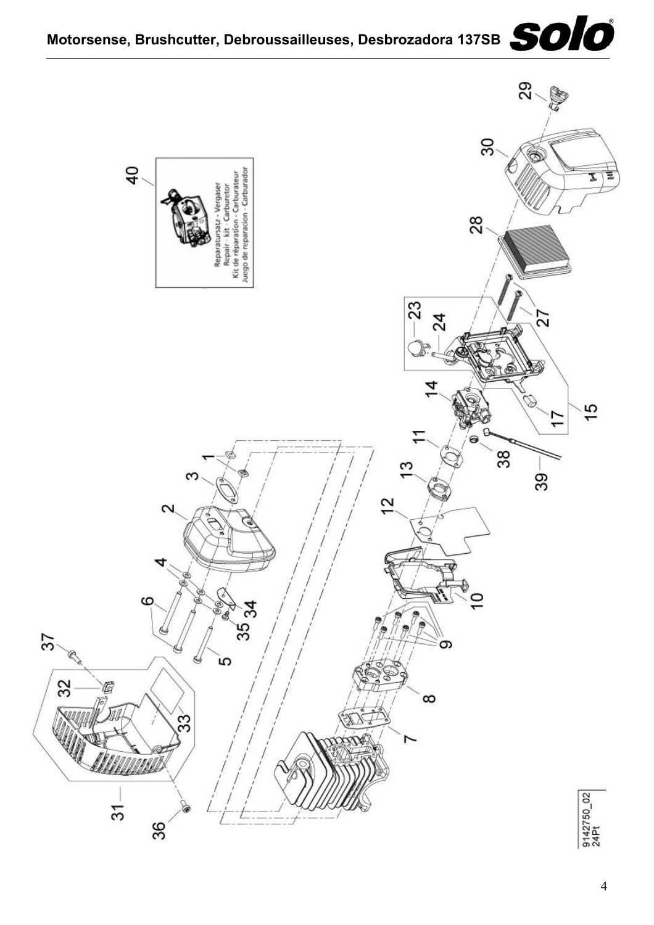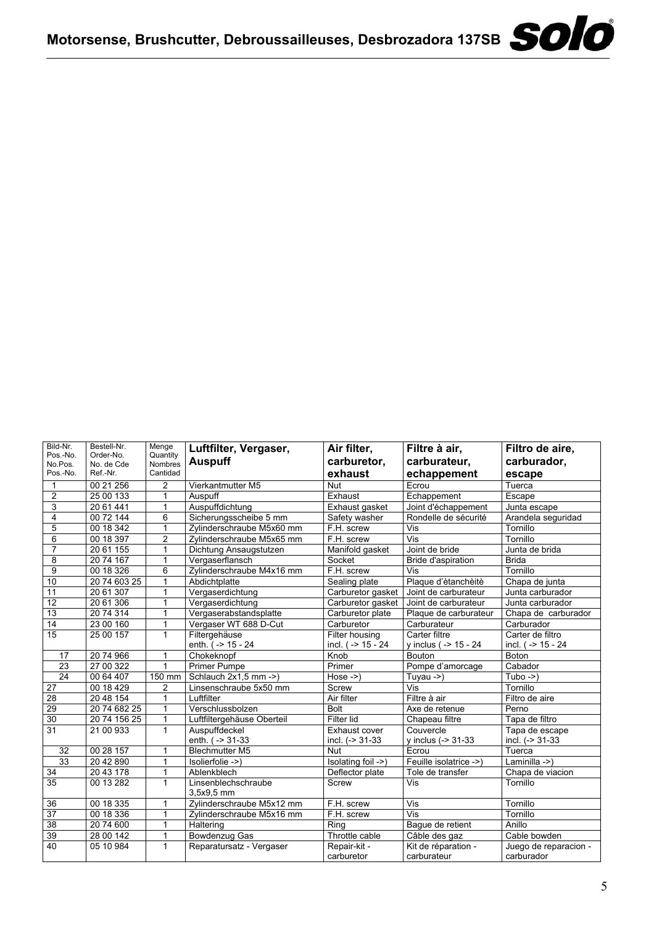| Bild-Nr.<br>Pos.-No.<br>No.Pos.<br>Pos.-No. | Bestell-Nr.<br>Order-No.<br>No. de Cde<br>Ref.-Nr. | Menge<br>Quantity<br>Nombres<br>Cantidad | Luftfilter, Vergaser,<br><b>Auspuff</b> | Air filter,<br>carburetor,<br>exhaust | Filtre à air,<br>carburateur,<br>echappement | Filtro de aire.<br>carburador,<br>escape |
|---------------------------------------------|----------------------------------------------------|------------------------------------------|-----------------------------------------|---------------------------------------|----------------------------------------------|------------------------------------------|
| $\mathbf{1}$                                | 00 21 256                                          | $\overline{2}$                           | Vierkantmutter M5                       | <b>Nut</b>                            | Ecrou                                        | Tuerca                                   |
| $\overline{2}$                              | 25 00 133                                          | 1                                        | Auspuff                                 | Exhaust                               | Echappement                                  | Escape                                   |
| 3                                           | 20 61 441                                          | 1                                        | Auspuffdichtung                         | Exhaust gasket                        | Joint d'échappement                          | Junta escape                             |
| $\overline{4}$                              | 00 72 144                                          | 6                                        | Sicherungsscheibe 5 mm                  | Safety washer                         | Rondelle de sécurité                         | Arandela seguridad                       |
| 5                                           | 00 18 342                                          | $\mathbf{1}$                             | Zylinderschraube M5x60 mm               | F.H. screw                            | Vis                                          | Tornillo                                 |
| 6                                           | 00 18 397                                          | $\overline{2}$                           | Zvlinderschraube M5x65 mm               | F.H. screw                            | $\overline{\mathsf{Vis}}$                    | Tornillo                                 |
| $\overline{7}$                              | 20 61 155                                          | 1                                        | Dichtung Ansaugstutzen                  | Manifold gasket                       | Joint de bride                               | Junta de brida                           |
| 8                                           | 20 74 167                                          | 1                                        | Vergaserflansch                         | Socket                                | Bride d'aspiration                           | <b>Brida</b>                             |
| 9                                           | 00 18 326                                          | 6                                        | Zylinderschraube M4x16 mm               | F.H. screw                            | Vis                                          | Tornillo                                 |
| 10                                          | 20 74 603 25                                       | 1                                        | Abdichtplatte                           | Sealing plate                         | Plaque d'ètanchèitè                          | Chapa de junta                           |
| 11                                          | 20 61 307                                          | 1                                        | Vergaserdichtung                        | Carburetor gasket                     | Joint de carburateur                         | Junta carburador                         |
| $\overline{12}$                             | 20 61 306                                          | 1                                        | Vergaserdichtung                        | Carburetor gasket                     | Joint de carburateur                         | Junta carburador                         |
| 13                                          | 20 74 314                                          | 1                                        | Vergaserabstandsplatte                  | Carburetor plate                      | Plaque de carburateur                        | Chapa de carburador                      |
| 14                                          | 23 00 160                                          | 1                                        | Vergaser WT 688 D-Cut                   | Carburetor                            | Carburateur                                  | Carburador                               |
| 15                                          | 25 00 157                                          | 1                                        | Filtergehäuse                           | Filter housing                        | Carter filtre                                | Carter de filtro                         |
|                                             |                                                    |                                          | enth. ( -> 15 - 24                      | incl. ( $-$ 15 - 24                   | y inclus ( -> 15 - 24                        | incl. (-> 15 - 24                        |
| 17                                          | 20 74 966                                          | 1                                        | Chokeknopf                              | Knob                                  | Bouton                                       | <b>Boton</b>                             |
| 23                                          | 27 00 322                                          | 1                                        | <b>Primer Pumpe</b>                     | Primer                                | Pompe d'amorcage                             | Cabador                                  |
| 24                                          | 00 64 407                                          | 150 mm                                   | Schlauch 2x1,5 mm ->)                   | $Hose \rightarrow$                    | Tuyau $-$                                    | $Tubo \rightarrow)$                      |
| $\overline{27}$                             | 00 18 429                                          | $\overline{c}$                           | Linsenschraube 5x50 mm                  | Screw                                 | Vis                                          | Tornillo                                 |
| 28                                          | 20 48 154                                          | 1                                        | Luftfilter                              | Air filter                            | Filtre à air                                 | Filtro de aire                           |
| 29                                          | 20 74 682 25                                       | 1                                        | Verschlussbolzen                        | <b>Bolt</b>                           | Axe de retenue                               | Perno                                    |
| 30                                          | 20 74 156 25                                       | 1                                        | Luftfiltergehäuse Oberteil              | Filter lid                            | Chapeau filtre                               | Tapa de filtro                           |
| 31                                          | 21 00 933                                          | 1                                        | Auspuffdeckel                           | Exhaust cover                         | Couvercle                                    | Tapa de escape                           |
|                                             |                                                    |                                          | enth. ( -> 31-33                        | incl. $(-5.31 - 33)$                  | y inclus (-> 31-33                           | incl. (-> 31-33                          |
| 32                                          | 00 28 157                                          | 1                                        | <b>Blechmutter M5</b>                   | <b>Nut</b>                            | Ecrou                                        | Tuerca                                   |
| $\overline{33}$                             | $\overline{2042890}$                               | 1                                        | Isolierfolie ->)                        | Isolating foil ->)                    | Feuille isolatrice ->)                       | Laminilla ->)                            |
| 34                                          | 20 43 178                                          | 1                                        | Ablenkblech                             | Deflector plate                       | Tole de transfer                             | Chapa de viacion                         |
| 35                                          | 00 13 282                                          | 1                                        | Linsenblechschraube<br>3,5x9,5 mm       | Screw                                 | Vis                                          | Tornillo                                 |
| 36                                          | 00 18 335                                          | 1                                        | Zylinderschraube M5x12 mm               | F.H. screw                            | Vis                                          | Tornillo                                 |
| 37                                          | 00 18 336                                          | 1                                        | Zylinderschraube M5x16 mm               | F.H. screw                            | Vis                                          | Tornillo                                 |
| 38                                          | 20 74 600                                          | 1                                        | Haltering                               | Rina                                  | Bague de retient                             | Anillo                                   |
| 39                                          | 28 00 142                                          | 1                                        | Bowdenzug Gas                           | Throttle cable                        | Câble des gaz                                | Cable bowden                             |
| 40                                          | 05 10 984                                          | $\mathbf{1}$                             | Reparatursatz - Vergaser                | Repair-kit -<br>carburetor            | Kit de réparation -<br>carburateur           | Juego de reparacion -<br>carburador      |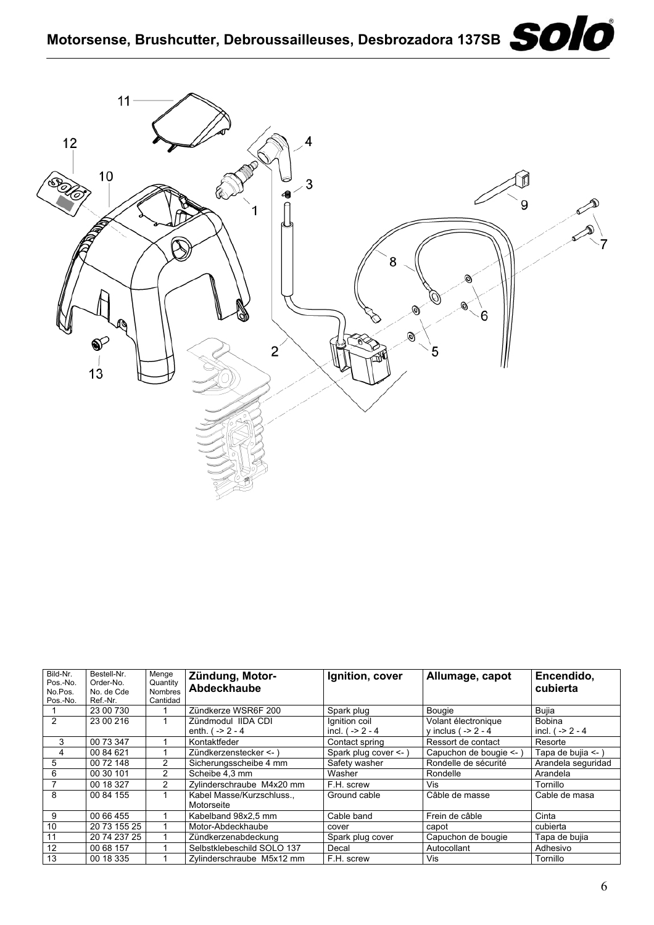

| Bild-Nr. | Bestell-Nr.  | Menge          | Zündung, Motor-            | Ignition, cover       | Allumage, capot       | Encendido.         |
|----------|--------------|----------------|----------------------------|-----------------------|-----------------------|--------------------|
| Pos.-No. | Order-No.    | Quantity       | Abdeckhaube                |                       |                       | cubierta           |
| No.Pos.  | No. de Cde   | <b>Nombres</b> |                            |                       |                       |                    |
| Pos.-No. | Ref.-Nr.     | Cantidad       |                            |                       |                       |                    |
|          | 23 00 730    |                | Zündkerze WSR6F 200        | Spark plug            | Bougie                | Bujia              |
| 2        | 23 00 216    |                | Zündmodul IIDA CDI         | Ignition coil         | Volant électronique   | Bobina             |
|          |              |                | enth. $( -2 - 4)$          | incl. $( -2 - 4)$     | y inclus ( $-2 - 4$   | incl. $( -2 - 4)$  |
| 3        | 00 73 347    |                | Kontaktfeder               | Contact spring        | Ressort de contact    | Resorte            |
| 4        | 00 84 621    |                | Zündkerzenstecker <- )     | Spark plug cover <- ) | Capuchon de bougie <- | Tapa de bujia <- ) |
| 5        | 00 72 148    | 2              | Sicherungsscheibe 4 mm     | Safety washer         | Rondelle de sécurité  | Arandela seguridad |
| 6        | 00 30 101    | $\overline{2}$ | Scheibe 4.3 mm             | Washer                | Rondelle              | Arandela           |
|          | 00 18 327    | 2              | Zylinderschraube M4x20 mm  | F.H. screw            | Vis                   | Tornillo           |
| 8        | 00 84 155    |                | Kabel Masse/Kurzschluss.,  | Ground cable          | Câble de masse        | Cable de masa      |
|          |              |                | Motorseite                 |                       |                       |                    |
| 9        | 00 66 455    |                | Kabelband 98x2.5 mm        | Cable band            | Frein de câble        | Cinta              |
| 10       | 20 73 155 25 |                | Motor-Abdeckhaube          | cover                 | capot                 | cubierta           |
| 11       | 20 74 237 25 |                | Zündkerzenabdeckung        | Spark plug cover      | Capuchon de bougie    | Tapa de bujia      |
| 12       | 00 68 157    |                | Selbstklebeschild SOLO 137 | Decal                 | Autocollant           | Adhesivo           |
| 13       | 00 18 335    |                | Zylinderschraube M5x12 mm  | F.H. screw            | Vis                   | Tornillo           |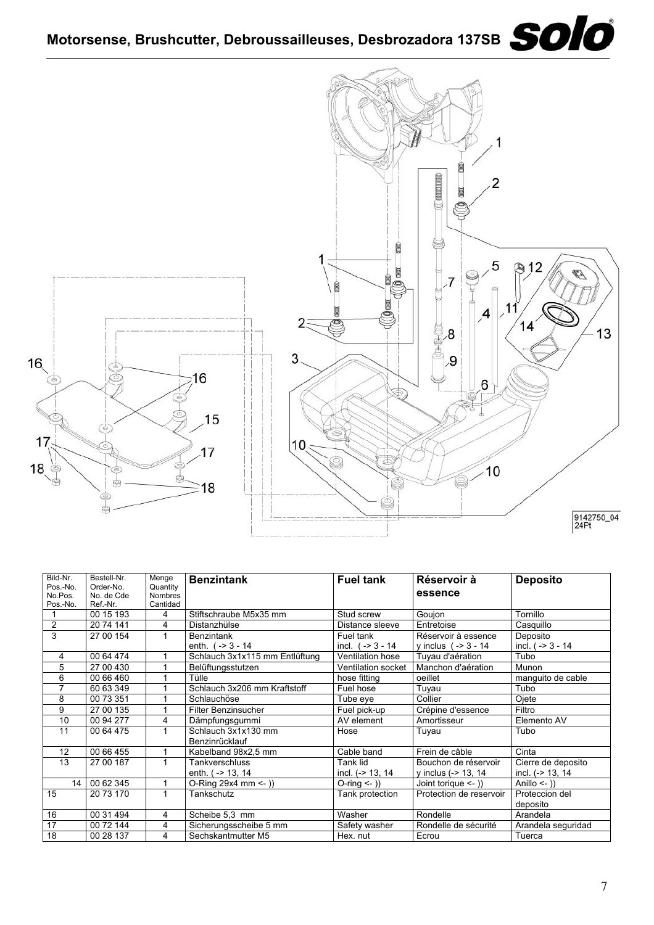## Motorsense, Brushcutter, Debroussailleuses, Desbrozadora 137SB **SOIO**



| Bild-Nr.                | Bestell-Nr. | Menge          | <b>Benzintank</b>              | <b>Fuel tank</b>          | Réservoir à             | <b>Deposito</b>        |
|-------------------------|-------------|----------------|--------------------------------|---------------------------|-------------------------|------------------------|
| Pos.-No.                | Order-No.   | Quantity       |                                |                           | essence                 |                        |
| No.Pos.                 | No. de Cde  | <b>Nombres</b> |                                |                           |                         |                        |
| Pos.-No.                | Ref.-Nr.    | Cantidad       |                                |                           |                         |                        |
|                         | 00 15 193   | 4              | Stiftschraube M5x35 mm         | Stud screw                | Goujon                  | Tornillo               |
| $\overline{\mathbf{c}}$ | 20 74 141   | 4              | Distanzhülse                   | Distance sleeve           | Entretoise              | Casquillo              |
| $\overline{3}$          | 27 00 154   | 1              | <b>Benzintank</b>              | Fuel tank                 | Réservoir à essence     | Deposito               |
|                         |             |                | enth. $(-3 - 14)$              | incl. $(-3 - 3 - 14)$     | y inclus $(-3 - 14)$    | incl. $(-3 - 14)$      |
| 4                       | 00 64 474   |                | Schlauch 3x1x115 mm Entlüftung | Ventilation hose          | Tuyau d'aération        | Tubo                   |
| 5                       | 27 00 430   |                | Belüftungsstutzen              | <b>Ventilation socket</b> | Manchon d'aération      | Munon                  |
| 6                       | 00 66 460   |                | Tülle                          | hose fitting              | oeillet                 | manquito de cable      |
| 7                       | 60 63 349   |                | Schlauch 3x206 mm Kraftstoff   | Fuel hose                 | Tuyau                   | Tubo                   |
| 8                       | 00 73 351   |                | Schlauchöse                    | Tube eve                  | Collier                 | Ojete                  |
| 9                       | 27 00 135   |                | Filter Benzinsucher            | Fuel pick-up              | Crépine d'essence       | Filtro                 |
| 10                      | 00 94 277   | 4              | Dämpfungsgummi                 | AV element                | Amortisseur             | Elemento AV            |
| 11                      | 00 64 475   |                | Schlauch 3x1x130 mm            | Hose                      | Tuyau                   | Tubo                   |
|                         |             |                | Benzinrücklauf                 |                           |                         |                        |
| 12                      | 00 66 455   |                | Kabelband 98x2,5 mm            | Cable band                | Frein de câble          | Cinta                  |
| 13                      | 27 00 187   | 1              | Tankverschluss                 | Tank lid                  | Bouchon de réservoir    | Cierre de deposito     |
|                         |             |                | enth. ( -> 13, 14              | incl. (-> 13, 14          | y inclus $(-> 13, 14)$  | incl. $(-> 13, 14)$    |
| 14                      | 00 62 345   | 1              | O-Ring 29x4 mm <- ))           | O-ring $\leftarrow$ ))    | Joint torique $\leq$ 1) | Anillo $\leftarrow$ )) |
| 15                      | 20 73 170   | 1              | Tankschutz                     | Tank protection           | Protection de reservoir | Proteccion del         |
|                         |             |                |                                |                           |                         | deposito               |
| 16                      | 00 31 494   | 4              | Scheibe 5,3 mm                 | Washer                    | Rondelle                | Arandela               |
| 17                      | 00 72 144   | 4              | Sicherungsscheibe 5 mm         | Safety washer             | Rondelle de sécurité    | Arandela seguridad     |
| 18                      | 00 28 137   | 4              | Sechskantmutter M5             | Hex. nut                  | Ecrou                   | Tuerca                 |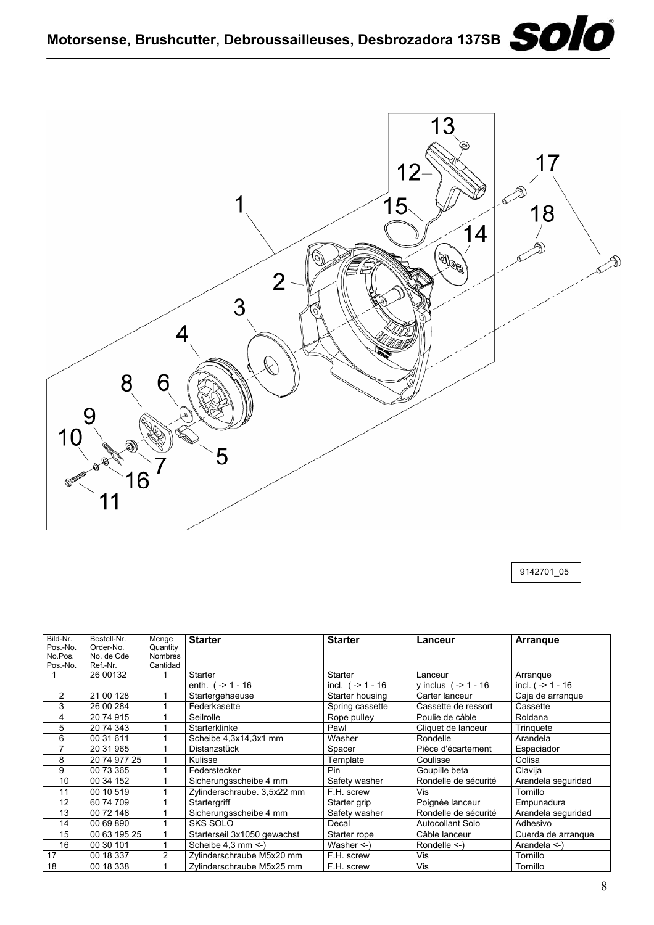

9142701\_05

| Bild-Nr.<br>Pos.-No.<br>No.Pos. | Bestell-Nr.<br>Order-No.<br>No. de Cde | Menge<br>Quantity<br><b>Nombres</b> | <b>Starter</b>                        | <b>Starter</b>                | Lanceur                          | <b>Arrangue</b>                 |
|---------------------------------|----------------------------------------|-------------------------------------|---------------------------------------|-------------------------------|----------------------------------|---------------------------------|
| Pos.-No.                        | Ref.-Nr.                               | Cantidad                            |                                       |                               |                                  |                                 |
|                                 | 26 00132                               |                                     | <b>Starter</b><br>enth. $( -2 1 - 16$ | Starter<br>incl. $(-2 1 - 16$ | Lanceur<br>y inclus $(-2 1 - 16$ | Arrangue<br>incl. $( -2 1 - 16$ |
| 2                               | 21 00 128                              |                                     | Startergehaeuse                       | Starter housing               | Carter lanceur                   | Caia de arranque                |
| 3                               | 26 00 284                              |                                     | Federkasette                          | Spring cassette               | Cassette de ressort              | Cassette                        |
| 4                               | 20 74 915                              |                                     | Seilrolle                             | Rope pulley                   | Poulie de câble                  | Roldana                         |
| 5                               | 20 74 343                              |                                     | Starterklinke                         | Pawl                          | Cliquet de lanceur               | Trinquete                       |
| 6                               | 00 31 611                              |                                     | Scheibe 4,3x14,3x1 mm                 | Washer                        | Rondelle                         | Arandela                        |
| 7                               | 20 31 965                              |                                     | Distanzstück                          | Spacer                        | Pièce d'écartement               | Espaciador                      |
| 8                               | 20 74 977 25                           |                                     | Kulisse                               | Template                      | Coulisse                         | Colisa                          |
| 9                               | 00 73 365                              |                                     | Federstecker                          | Pin                           | Goupille beta                    | Clavija                         |
| 10                              | 00 34 152                              |                                     | Sicherungsscheibe 4 mm                | Safety washer                 | Rondelle de sécurité             | Arandela seguridad              |
| 11                              | 00 10 519                              |                                     | Zylinderschraube. 3,5x22 mm           | F.H. screw                    | Vis                              | Tornillo                        |
| 12                              | 60 74 709                              |                                     | Startergriff                          | Starter grip                  | Poignée lanceur                  | Empunadura                      |
| 13                              | 00 72 148                              |                                     | Sicherungsscheibe 4 mm                | Safety washer                 | Rondelle de sécurité             | Arandela seguridad              |
| 14                              | 00 69 890                              |                                     | <b>SKS SOLO</b>                       | Decal                         | Autocollant Solo                 | Adhesivo                        |
| 15                              | 00 63 195 25                           |                                     | Starterseil 3x1050 gewachst           | Starter rope                  | Câble lanceur                    | Cuerda de arranque              |
| 16                              | 00 30 101                              |                                     | Scheibe 4,3 mm <- )                   | Washer $\leq$ -)              | Rondelle $\le$ - $\le$           | Arandela <-)                    |
| 17                              | 00 18 337                              | $\overline{2}$                      | Zylinderschraube M5x20 mm             | F.H. screw                    | Vis                              | Tornillo                        |
| 18                              | 00 18 338                              |                                     | Zylinderschraube M5x25 mm             | F.H. screw                    | Vis                              | Tornillo                        |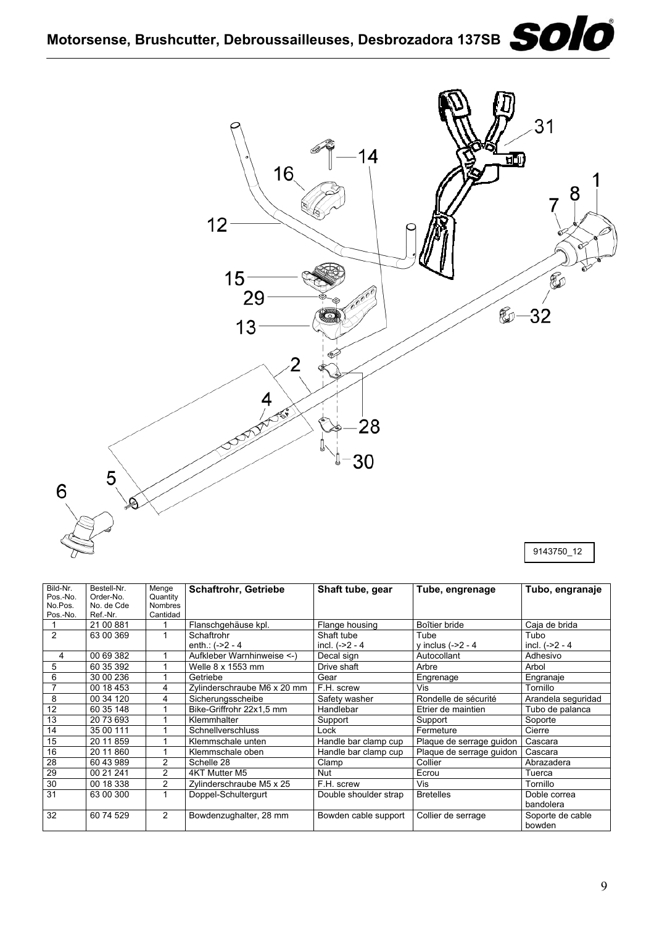## **Motorsense, Brushcutter, Debroussailleuses, Desbrozadora 137SB**



| Bild-Nr. | Bestell-Nr. | Menge          | <b>Schaftrohr, Getriebe</b> | Shaft tube, gear      | Tube, engrenage          | Tubo, engranaje    |
|----------|-------------|----------------|-----------------------------|-----------------------|--------------------------|--------------------|
| Pos.-No. | Order-No.   | Quantity       |                             |                       |                          |                    |
| No.Pos.  | No. de Cde  | Nombres        |                             |                       |                          |                    |
| Pos.-No. | Ref.-Nr.    | Cantidad       |                             |                       |                          |                    |
|          | 21 00 881   |                | Flanschgehäuse kpl.         | Flange housing        | Boîtier bride            | Caja de brida      |
| 2        | 63 00 369   |                | Schaftrohr                  | Shaft tube            | Tube                     | Tubo               |
|          |             |                | enth: $(-2 - 4)$            | incl. $(-22 - 4)$     | y inclus $(-2 - 4)$      | incl. $(-2 - 4)$   |
| 4        | 00 69 382   |                | Aufkleber Warnhinweise <-)  | Decal sign            | Autocollant              | Adhesivo           |
| 5        | 60 35 392   |                | Welle 8 x 1553 mm           | Drive shaft           | Arbre                    | Arbol              |
| 6        | 30 00 236   |                | Getriebe                    | Gear                  | Engrenage                | Engranaje          |
|          | 00 18 453   | 4              | Zylinderschraube M6 x 20 mm | F.H. screw            | Vis                      | Tornillo           |
| 8        | 00 34 120   | 4              | Sicherungsscheibe           | Safety washer         | Rondelle de sécurité     | Arandela seguridad |
| 12       | 60 35 148   |                | Bike-Griffrohr 22x1,5 mm    | Handlebar             | Etrier de maintien       | Tubo de palanca    |
| 13       | 20 73 693   |                | Klemmhalter                 | Support               | Support                  | Soporte            |
| 14       | 35 00 111   |                | <b>Schnellverschluss</b>    | Lock                  | Fermeture                | Cierre             |
| 15       | 20 11 859   |                | Klemmschale unten           | Handle bar clamp cup  | Plaque de serrage guidon | Cascara            |
| 16       | 20 11 860   |                | Klemmschale oben            | Handle bar clamp cup  | Plaque de serrage guidon | Cascara            |
| 28       | 60 43 989   | $\overline{2}$ | Schelle 28                  | Clamp                 | Collier                  | Abrazadera         |
| 29       | 00 21 241   | 2              | 4KT Mutter M5               | Nut                   | Ecrou                    | Tuerca             |
| 30       | 00 18 338   | 2              | Zylinderschraube M5 x 25    | F.H. screw            | Vis                      | Tornillo           |
| 31       | 63 00 300   |                | Doppel-Schultergurt         | Double shoulder strap | <b>Bretelles</b>         | Doble correa       |
|          |             |                |                             |                       |                          | bandolera          |
| 32       | 60 74 529   | 2              | Bowdenzughalter, 28 mm      | Bowden cable support  | Collier de serrage       | Soporte de cable   |
|          |             |                |                             |                       |                          | bowden             |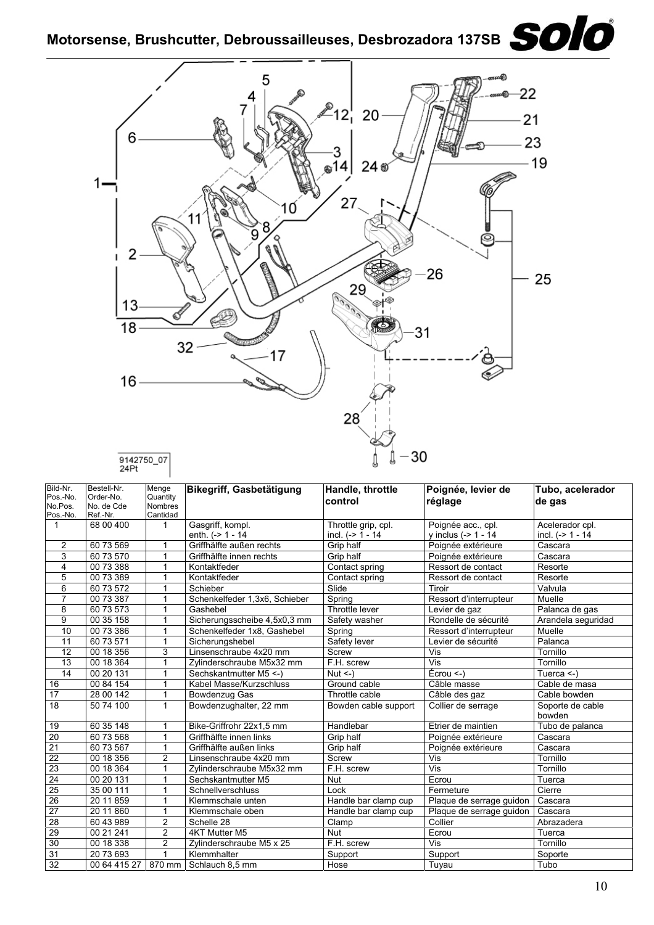# Motorsense, Brushcutter, Debroussailleuses, Desbrozadora 137SB<br> **SOIO**



| Bild-Nr.<br>Pos.-No.<br>No.Pos. | Bestell-Nr.<br>Order-No.<br>No. de Cde | Menge<br>Quantity<br><b>Nombres</b> | Bikegriff, Gasbetätigung      | Handle, throttle<br>control | Poignée, levier de<br>réglage | Tubo, acelerador<br>de gas |
|---------------------------------|----------------------------------------|-------------------------------------|-------------------------------|-----------------------------|-------------------------------|----------------------------|
| Pos.-No.                        | Ref.-Nr.                               | Cantidad                            |                               |                             |                               |                            |
| 1                               | 68 00 400                              | $\mathbf 1$                         | Gasgriff, kompl.              | Throttle grip, cpl.         | Poignée acc., cpl.            | Acelerador cpl.            |
|                                 |                                        |                                     | enth. $(-2 1 - 14)$           | incl. $(-> 1 - 14)$         | v inclus $(-5 1 - 14)$        | incl. $(-> 1 - 14$         |
| 2                               | 60 73 569                              | 1                                   | Griffhälfte außen rechts      | Grip half                   | Poignée extérieure            | Cascara                    |
| 3                               | 60 73 570                              | 1                                   | Griffhälfte innen rechts      | Grip half                   | Poignée extérieure            | Cascara                    |
| 4                               | 00 73 388                              | 1                                   | Kontaktfeder                  | Contact spring              | Ressort de contact            | Resorte                    |
| 5                               | 00 73 389                              | 1                                   | Kontaktfeder                  | Contact spring              | Ressort de contact            | Resorte                    |
| 6                               | 60 73 572                              | 1                                   | Schieber                      | Slide                       | Tiroir                        | Valvula                    |
| $\overline{7}$                  | 00 73 387                              | 1                                   | Schenkelfeder 1,3x6, Schieber | Spring                      | Ressort d'interrupteur        | Muelle                     |
| 8                               | 60 73 573                              | $\mathbf{1}$                        | Gashebel                      | Throttle lever              | Levier de gaz                 | Palanca de gas             |
| 9                               | 00 35 158                              | 1                                   | Sicherungsscheibe 4,5x0,3 mm  | Safety washer               | Rondelle de sécurité          | Arandela seguridad         |
| 10                              | 00 73 386                              | 1                                   | Schenkelfeder 1x8, Gashebel   | Spring                      | Ressort d'interrupteur        | Muelle                     |
| 11                              | 60 73 571                              | 1                                   | Sicherungshebel               | Safety lever                | Levier de sécurité            | Palanca                    |
| 12                              | 00 18 356                              | 3                                   | Linsenschraube 4x20 mm        | Screw                       | Vis                           | Tornillo                   |
| 13                              | 00 18 364                              | 1                                   | Zvlinderschraube M5x32 mm     | F.H. screw                  | Vis                           | Tornillo                   |
| 14                              | 00 20 131                              | 1                                   | Sechskantmutter M5 <-         | $Nut < -1$                  | Écrou <                       | Tuerca $\leq$ )            |
| 16                              | 00 84 154                              | 1                                   | Kabel Masse/Kurzschluss       | Ground cable                | Câble masse                   | Cable de masa              |
| 17                              | 28 00 142                              | 1                                   | Bowdenzug Gas                 | Throttle cable              | Câble des gaz                 | Cable bowden               |
| 18                              | 50 74 100                              | $\mathbf{1}$                        | Bowdenzughalter, 22 mm        | Bowden cable support        | Collier de serrage            | Soporte de cable<br>bowden |
| 19                              | 60 35 148                              | 1                                   | Bike-Griffrohr 22x1,5 mm      | Handlebar                   | Etrier de maintien            | Tubo de palanca            |
| 20                              | 60 73 568                              | 1                                   | Griffhälfte innen links       | Grip half                   | Poignée extérieure            | Cascara                    |
| 21                              | 60 73 567                              | 1                                   | Griffhälfte außen links       | Grip half                   | Poignée extérieure            | Cascara                    |
| $\overline{22}$                 | 00 18 356                              | $\overline{2}$                      | Linsenschraube 4x20 mm        | Screw                       | Vis                           | Tornillo                   |
| $\overline{23}$                 | 00 18 364                              | 1                                   | Zylinderschraube M5x32 mm     | F.H. screw                  | $\overline{\mathsf{Vis}}$     | Tornillo                   |
| $\overline{24}$                 | 00 20 131                              | 1                                   | Sechskantmutter M5            | <b>Nut</b>                  | Ecrou                         | Tuerca                     |
| $\overline{25}$                 | 35 00 111                              | $\mathbf{1}$                        | Schnellverschluss             | Lock                        | Fermeture                     | Cierre                     |
| $\overline{26}$                 | 20 11 859                              | $\mathbf{1}$                        | Klemmschale unten             | Handle bar clamp cup        | Plaque de serrage guidon      | Cascara                    |
| $\overline{27}$                 | 20 11 860                              | $\mathbf{1}$                        | Klemmschale oben              | Handle bar clamp cup        | Plaque de serrage guidon      | Cascara                    |
| 28                              | 60 43 989                              | $\overline{c}$                      | Schelle 28                    | Clamp                       | Collier                       | Abrazadera                 |
| 29                              | 00 21 241                              | $\overline{c}$                      | 4KT Mutter M5                 | <b>Nut</b>                  | Ecrou                         | Tuerca                     |
| 30                              | 00 18 338                              | 2                                   | Zylinderschraube M5 x 25      | F.H. screw                  | Vis                           | Tornillo                   |
| $\overline{31}$                 | 20 73 693                              | 1                                   | Klemmhalter                   | Support                     | Support                       | Soporte                    |
| $\overline{32}$                 | 00 64 415 27                           | 870 mm                              | Schlauch 8,5 mm               | Hose                        | Tuyau                         | Tubo                       |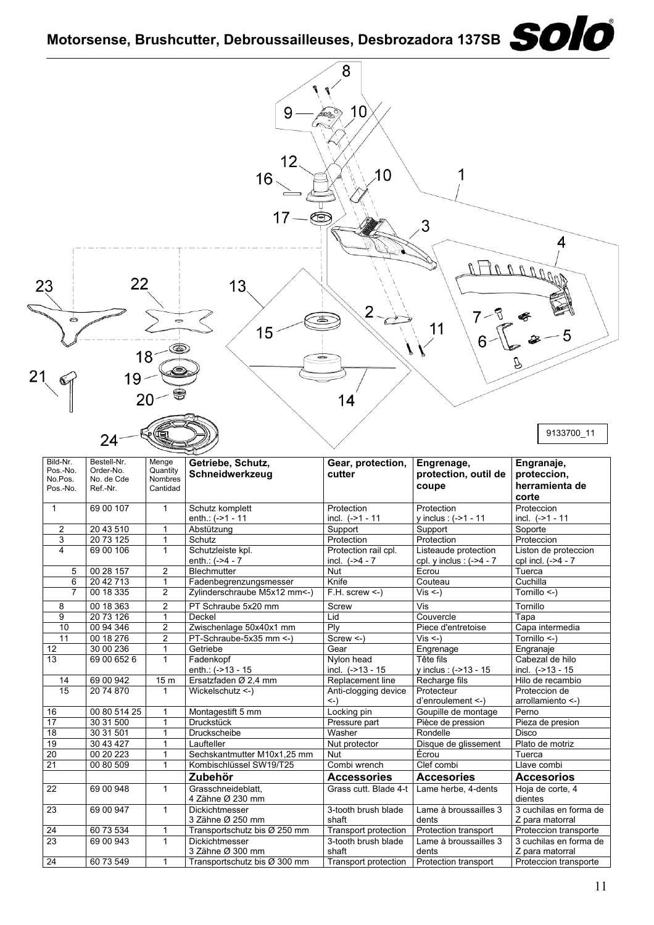### **Motorsense, Brushcutter, Debroussailleuses, Desbrozadora 137SB**

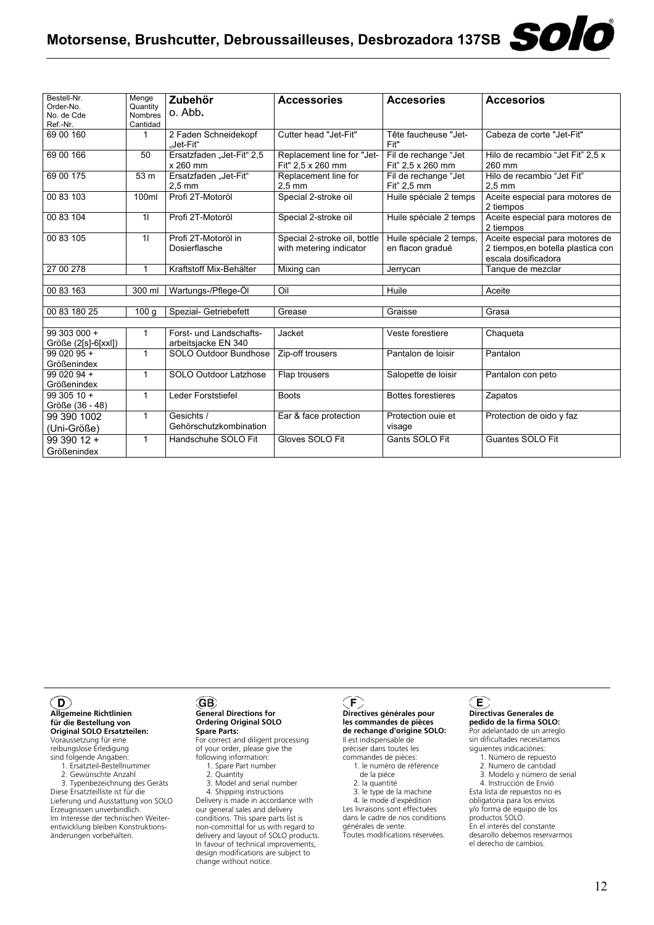### Motorsense, Brushcutter, Debroussailleuses, Desbrozadora 137SB<br> **SOLO**

| Bestell-Nr.<br>Order-No.<br>No. de Cde<br>Ref.-Nr. | Menge<br>Quantity<br><b>Nombres</b><br>Cantidad | Zubehör<br>o. Abb.                             | <b>Accessories</b>                                      | <b>Accesories</b>                           | <b>Accesorios</b>                                                                            |
|----------------------------------------------------|-------------------------------------------------|------------------------------------------------|---------------------------------------------------------|---------------------------------------------|----------------------------------------------------------------------------------------------|
| 69 00 160                                          | 1                                               | 2 Faden Schneidekopf<br>"Jet-Fit"              | Cutter head "Jet-Fit"                                   | Tête faucheuse "Jet-<br>Fit"                | Cabeza de corte "Jet-Fit"                                                                    |
| 69 00 166                                          | 50                                              | Ersatzfaden "Jet-Fit" 2,5<br>x 260 mm          | Replacement line for "Jet-<br>Fit" 2,5 x 260 mm         | Fil de rechange "Jet<br>Fit" 2.5 x 260 mm   | Hilo de recambio "Jet Fit" 2,5 x<br>260 mm                                                   |
| 69 00 175                                          | 53 m                                            | Ersatzfaden "Jet-Fit"<br>$2.5 \text{ mm}$      | Replacement line for<br>$2.5 \text{ mm}$                | Fil de rechange "Jet<br>Fit" 2,5 mm         | Hilo de recambio "Jet Fit"<br>$2.5 \text{ mm}$                                               |
| 00 83 103                                          | 100ml                                           | Profi 2T-Motoröl                               | Special 2-stroke oil                                    | Huile spéciale 2 temps                      | Aceite especial para motores de<br>2 tiempos                                                 |
| 00 83 104                                          | 11                                              | Profi 2T-Motoröl                               | Special 2-stroke oil                                    | Huile spéciale 2 temps                      | Aceite especial para motores de<br>2 tiempos                                                 |
| 00 83 105                                          | 11                                              | Profi 2T-Motoröl in<br>Dosierflasche           | Special 2-stroke oil, bottle<br>with metering indicator | Huile spéciale 2 temps,<br>en flacon gradué | Aceite especial para motores de<br>2 tiempos, en botella plastica con<br>escala dosificadora |
| 27 00 278                                          | 1                                               | Kraftstoff Mix-Behälter                        | Mixing can                                              | Jerrycan                                    | Tanque de mezclar                                                                            |
|                                                    |                                                 |                                                |                                                         |                                             |                                                                                              |
| 00 83 163                                          | 300 ml                                          | Wartungs-/Pflege-Öl                            | Oil                                                     | Huile                                       | Aceite                                                                                       |
| 00 83 180 25                                       | 100 <sub>g</sub>                                | Spezial- Getriebefett                          | Grease                                                  | Graisse                                     | Grasa                                                                                        |
|                                                    |                                                 |                                                |                                                         |                                             |                                                                                              |
| 99 303 000 +<br>Größe (2[s]-6[xxl])                | 1                                               | Forst- und Landschafts-<br>arbeitsjacke EN 340 | Jacket                                                  | Veste forestiere                            | Chaqueta                                                                                     |
| 99 020 95 +<br>Größenindex                         | $\mathbf{1}$                                    | SOLO Outdoor Bundhose                          | Zip-off trousers                                        | Pantalon de loisir                          | Pantalon                                                                                     |
| 99 020 94 +<br>Größenindex                         | $\mathbf{1}$                                    | SOLO Outdoor Latzhose                          | Flap trousers                                           | Salopette de loisir                         | Pantalon con peto                                                                            |
| 99 305 10 +<br>Größe (36 - 48)                     | $\mathbf{1}$                                    | Leder Forststiefel                             | <b>Boots</b>                                            | <b>Bottes forestieres</b>                   | Zapatos                                                                                      |
| 99 390 1002<br>(Uni-Größe)                         | $\mathbf{1}$                                    | Gesichts /<br>Gehörschutzkombination           | Ear & face protection                                   | Protection ouie et<br>visage                | Protection de oido y faz                                                                     |
| 99 390 12 +<br>Größenindex                         | $\mathbf{1}$                                    | Handschuhe SOLO Fit                            | Gloves SOLO Fit                                         | Gants SOLO Fit                              | Guantes SOLO Fit                                                                             |

#### $\odot$

**Allgemeine Richtlinien für die Bestellung von Original SOLO Ersatzteilen:** Voraussetzung für eine reibungslose Erledigung sind folgende Angaben: 1. Ersatzteil-Bestellnummer

2. Gewünschte Anzahl

 3. Typenbezeichnung des Geräts Diese Ersatzteilliste ist für die Lieferung und Ausstattung von SOLO Erzeugnissen unverbindlich. Im Interesse der technischen Weiter-entwicklung bleiben Konstruktionsänderungen vorbehalten.

#### GB) **General Directions for Ordering Original SOLO**

**Spare Parts:** For correct and diligent processing of your order, please give the

following information: 1. Spare Part number

2. Quantity

 3. Model and serial number 4. Shipping instructions

Delivery is made in accordance with our general sales and delivery conditions. This spare parts list is non-committal for us with regard to delivery and layout of SOLO products. In favour of technical improvements, design modifications are subject to change without notice.

### **Directives générales pour**

**les commandes de pièces de rechange d'origine SOLO:** Il est indispensable de préciser dans toutes les

commandes de pièces: 1. le numéro de référence de la pièce

2. la quantité

 3. le type de la machine 4. le mode d'expédition

Les livraisons sont effectuées dans le cadre de nos conditions générales de vente.

Toutes modifications réservées.

#### **Directivas Generales de pedido de la firma SOLO:**

Por adelantado de un arreglo sin dificultades necesitamos siguientes indicaciónes:

- 1. Número de repuesto 2. Numero de cantidad
- 3. Modelo y número de serial
- 4. Instrucción de Envió

Esta lista de repuestos no es obligatoria para los envios y/o forma de equipo de los productos SOLO. En el interés del constante desarollo debemos reservarmos el derecho de cambios.